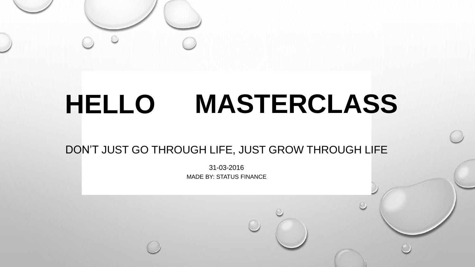

# **HELLO MASTERCLASS**

#### DON'T JUST GO THROUGH LIFE, JUST GROW THROUGH LIFE

31-03-2016 MADE BY: STATUS FINANCE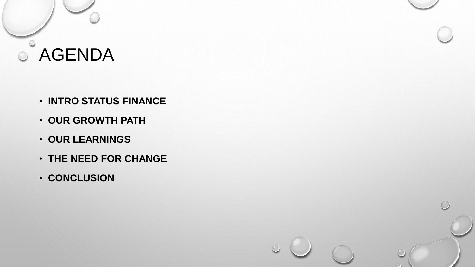

- **INTRO STATUS FINANCE**
- **OUR GROWTH PATH**
- **OUR LEARNINGS**
- **THE NEED FOR CHANGE**
- **CONCLUSION**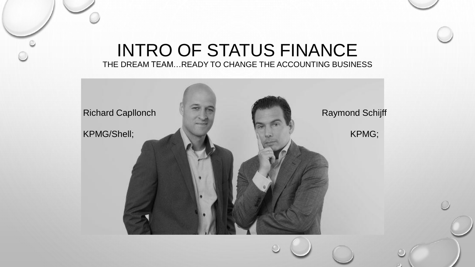#### INTRO OF STATUS FINANCE THE DREAM TEAM…READY TO CHANGE THE ACCOUNTING BUSINESS

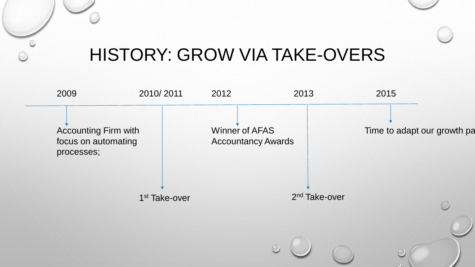### HISTORY: GROW VIA TAKE-OVERS

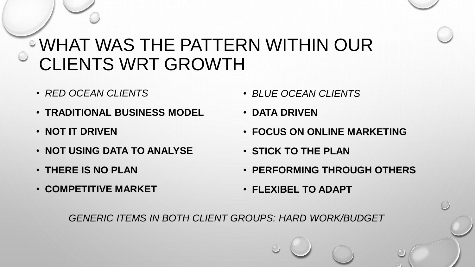### WHAT WAS THE PATTERN WITHIN OUR CLIENTS WRT GROWTH

- *RED OCEAN CLIENTS*
- **TRADITIONAL BUSINESS MODEL**
- **NOT IT DRIVEN**
- **NOT USING DATA TO ANALYSE**
- **THERE IS NO PLAN**
- **COMPETITIVE MARKET**
- *BLUE OCEAN CLIENTS*
- **DATA DRIVEN**
- **FOCUS ON ONLINE MARKETING**
- **STICK TO THE PLAN**
- **PERFORMING THROUGH OTHERS**
- **FLEXIBEL TO ADAPT**

*GENERIC ITEMS IN BOTH CLIENT GROUPS: HARD WORK/BUDGET*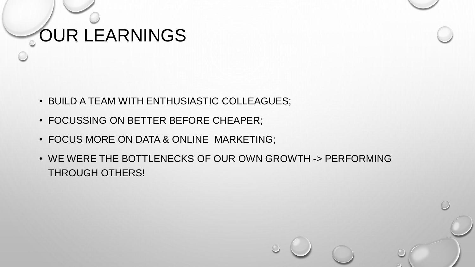## OUR LEARNINGS

- BUILD A TEAM WITH ENTHUSIASTIC COLLEAGUES;
- FOCUSSING ON BETTER BEFORE CHEAPER;
- FOCUS MORE ON DATA & ONLINE MARKETING;
- WE WERE THE BOTTLENECKS OF OUR OWN GROWTH -> PERFORMING THROUGH OTHERS!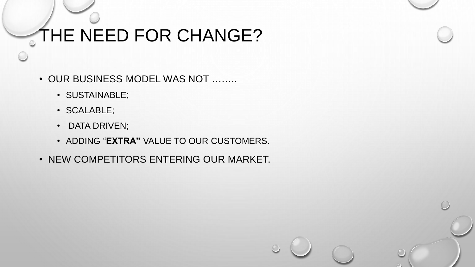## THE NEED FOR CHANGE?

- OUR BUSINESS MODEL WAS NOT ……..
	- SUSTAINABLE;
	- SCALABLE;
	- DATA DRIVEN;
	- ADDING "**EXTRA"** VALUE TO OUR CUSTOMERS.
- NEW COMPETITORS ENTERING OUR MARKET.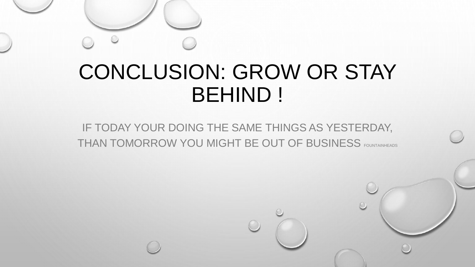## CONCLUSION: GROW OR STAY BEHIND !

IF TODAY YOUR DOING THE SAME THINGS AS YESTERDAY, THAN TOMORROW YOU MIGHT BE OUT OF BUSINESS FOUNTAINHEADS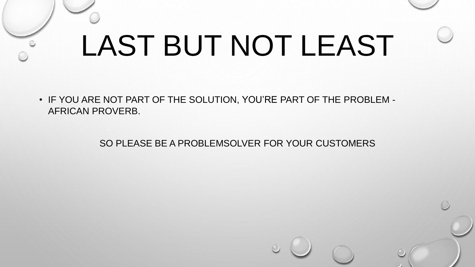# LAST BUT NOT LEAST

• IF YOU ARE NOT PART OF THE SOLUTION, YOU'RE PART OF THE PROBLEM - AFRICAN PROVERB.

SO PLEASE BE A PROBLEMSOLVER FOR YOUR CUSTOMERS